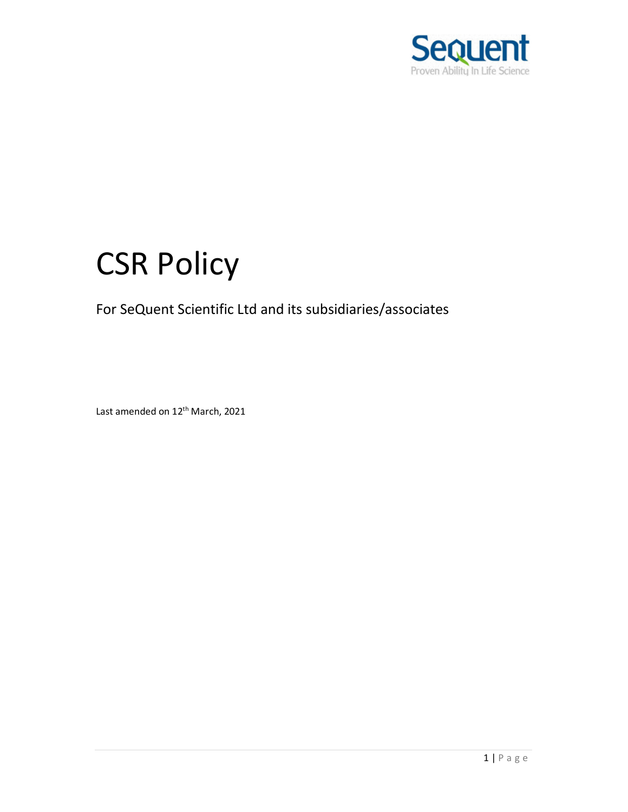

# CSR Policy

## For SeQuent Scientific Ltd and its subsidiaries/associates

Last amended on 12<sup>th</sup> March, 2021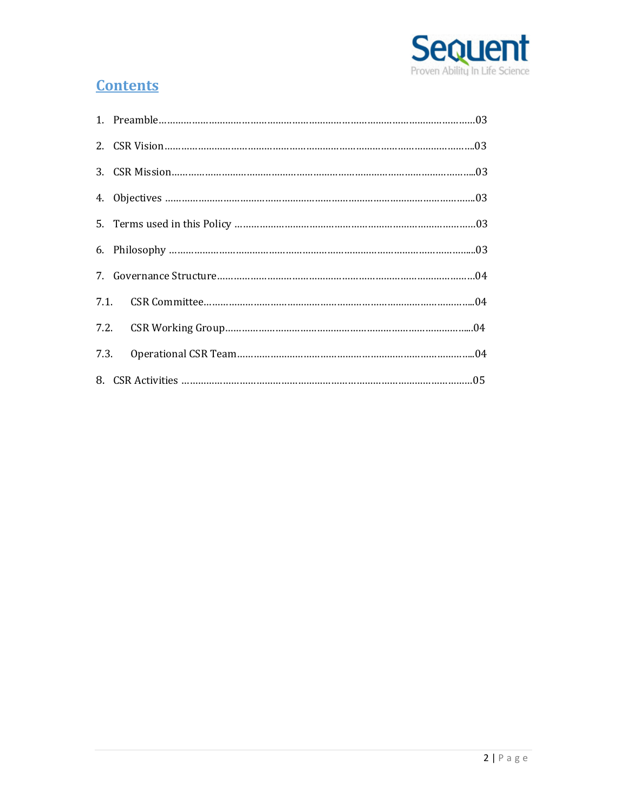

## **Contents**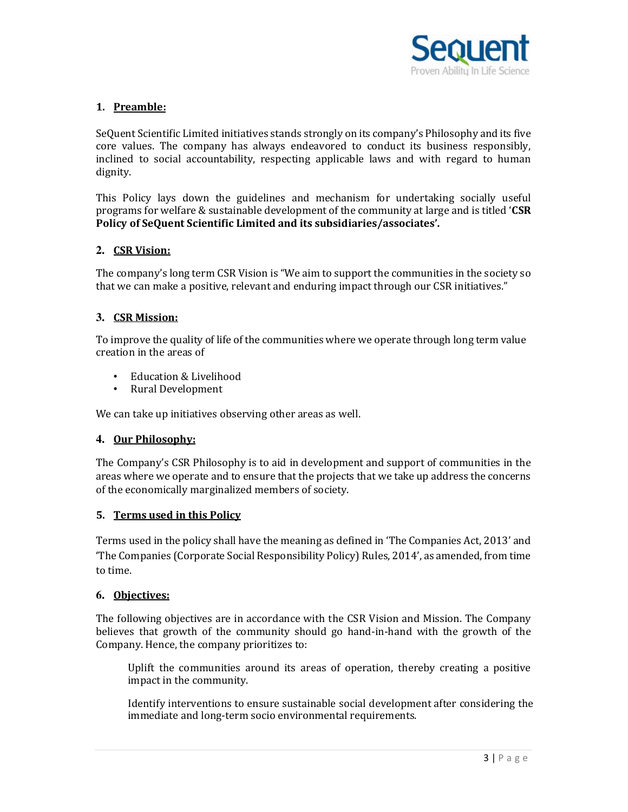

### **1. Preamble:**

SeQuent Scientific Limited initiatives stands strongly on its company's Philosophy and its five core values. The company has always endeavored to conduct its business responsibly, inclined to social accountability, respecting applicable laws and with regard to human dignity.

This Policy lays down the guidelines and mechanism for undertaking socially useful programs for welfare & sustainable development of the community at large and is titled '**CSR Policy of SeQuent Scientific Limited and its subsidiaries/associates'.**

#### **2. CSR Vision:**

The company's long term CSR Vision is "We aim to support the communities in the society so that we can make a positive, relevant and enduring impact through our CSR initiatives."

#### **3. CSR Mission:**

To improve the quality of life of the communities where we operate through long term value creation in the areas of

- Education & Livelihood
- Rural Development

We can take up initiatives observing other areas as well.

#### **4. Our Philosophy:**

The Company's CSR Philosophy is to aid in development and support of communities in the areas where we operate and to ensure that the projects that we take up address the concerns of the economically marginalized members of society.

#### **5. Terms used in this Policy**

Terms used in the policy shall have the meaning as defined in 'The Companies Act, 2013' and 'The Companies (Corporate Social Responsibility Policy) Rules, 2014', as amended, from time to time.

#### **6. Objectives:**

The following objectives are in accordance with the CSR Vision and Mission. The Company believes that growth of the community should go hand-in-hand with the growth of the Company. Hence, the company prioritizes to:

Uplift the communities around its areas of operation, thereby creating a positive impact in the community.

Identify interventions to ensure sustainable social development after considering the immediate and long-term socio environmental requirements.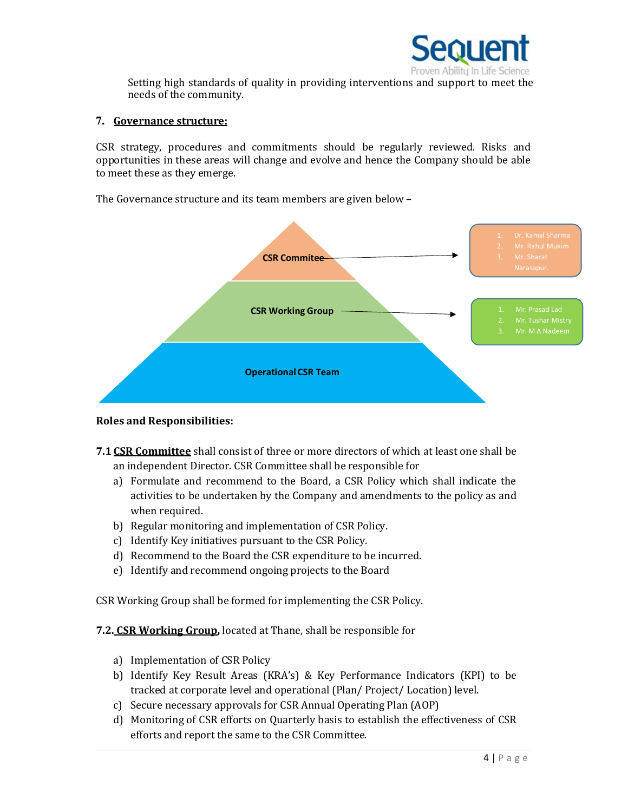

Setting high standards of quality in providing interventions and support to meet the needs of the community.

#### **7. Governance structure:**

CSR strategy, procedures and commitments should be regularly reviewed. Risks and opportunities in these areas will change and evolve and hence the Company should be able to meet these as they emerge.

The Governance structure and its team members are given below –



#### **Roles and Responsibilities:**

- **7.1 CSR Committee** shall consist of three or more directors of which at least one shall be an independent Director. CSR Committee shall be responsible for
	- a) Formulate and recommend to the Board, a CSR Policy which shall indicate the activities to be undertaken by the Company and amendments to the policy as and when required.
	- b) Regular monitoring and implementation of CSR Policy.
	- c) Identify Key initiatives pursuant to the CSR Policy.
	- d) Recommend to the Board the CSR expenditure to be incurred.
	- e) Identify and recommend ongoing projects to the Board

CSR Working Group shall be formed for implementing the CSR Policy.

- **7.2. CSR Working Group,** located at Thane, shall be responsible for
	- a) Implementation of CSR Policy
	- b) Identify Key Result Areas (KRA's) & Key Performance Indicators (KPI) to be tracked at corporate level and operational (Plan/ Project/ Location) level.
	- c) Secure necessary approvals for CSR Annual Operating Plan (AOP)
	- d) Monitoring of CSR efforts on Quarterly basis to establish the effectiveness of CSR efforts and report the same to the CSR Committee.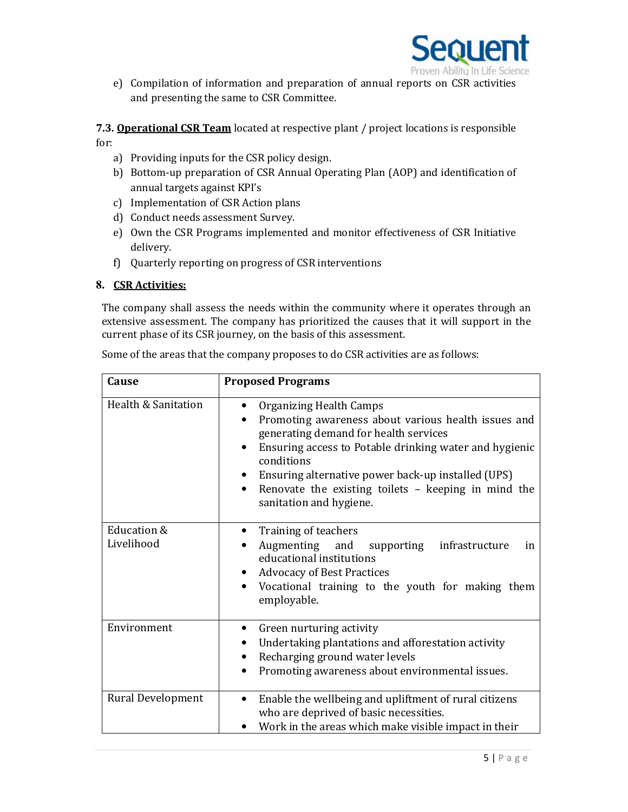

e) Compilation of information and preparation of annual reports on CSR activities and presenting the same to CSR Committee.

**7.3. Operational CSR Team** located at respective plant / project locations is responsible for:

- a) Providing inputs for the CSR policy design.
- b) Bottom-up preparation of CSR Annual Operating Plan (AOP) and identification of annual targets against KPI's
- c) Implementation of CSR Action plans
- d) Conduct needs assessment Survey.
- e) Own the CSR Programs implemented and monitor effectiveness of CSR Initiative delivery.
- f) Quarterly reporting on progress of CSR interventions

#### **8. CSR Activities:**

The company shall assess the needs within the community where it operates through an extensive assessment. The company has prioritized the causes that it will support in the current phase of its CSR journey, on the basis of this assessment.

| Cause                     | <b>Proposed Programs</b>                                                                                                                                                                                                                                                                                                                                          |
|---------------------------|-------------------------------------------------------------------------------------------------------------------------------------------------------------------------------------------------------------------------------------------------------------------------------------------------------------------------------------------------------------------|
| Health & Sanitation       | Organizing Health Camps<br>$\bullet$<br>Promoting awareness about various health issues and<br>generating demand for health services<br>Ensuring access to Potable drinking water and hygienic<br>conditions<br>Ensuring alternative power back-up installed (UPS)<br>Renovate the existing toilets - keeping in mind the<br>$\bullet$<br>sanitation and hygiene. |
| Education &<br>Livelihood | Training of teachers<br>Augmenting and supporting infrastructure<br>in<br>educational institutions<br><b>Advocacy of Best Practices</b><br>Vocational training to the youth for making them<br>$\bullet$<br>employable.                                                                                                                                           |
| Environment               | Green nurturing activity<br>Undertaking plantations and afforestation activity<br>Recharging ground water levels<br>$\bullet$<br>Promoting awareness about environmental issues.<br>$\bullet$                                                                                                                                                                     |
| Rural Development         | Enable the wellbeing and upliftment of rural citizens<br>$\bullet$<br>who are deprived of basic necessities.<br>Work in the areas which make visible impact in their                                                                                                                                                                                              |

Some of the areas that the company proposes to do CSR activities are as follows: